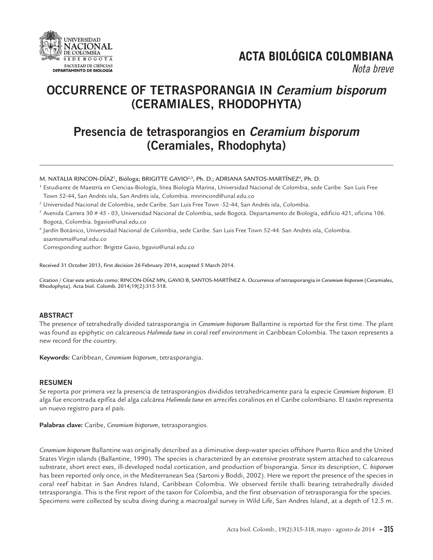

# **ACTA BIOLÓGICA COLOMBIANA**

*Nota breve*

## **OCCURRENCE OF TETRASPORANGIA IN** *Ceramium bisporum* **(CERAMIALES, RHODOPHYTA)**

### **Presencia de tetrasporangios en** *Ceramium bisporum* **(Ceramiales, Rhodophyta)**

M. NATALIA RINCON-DÍAZ', Bióloga; BRIGITTE GAVIO<sup>2,3</sup>, Ph. D.; ADRIANA SANTOS-MARTÍNEZ<sup>4</sup>, Ph. D.

- <sup>1</sup> Estudiante de Maestría en Ciencias-Biología, línea Biología Marina, Universidad Nacional de Colombia, sede Caribe. San Luis Free Town 52-44, San Andrés isla, San Andrés isla, Colombia. mnrincond@unal.edu.co
- <sup>2</sup> Universidad Nacional de Colombia, sede Caribe. San Luis Free Town ·52-44, San Andrés isla, Colombia.
- $3$  Avenida Carrera 30 # 45 03, Universidad Nacional de Colombia, sede Bogotá. Departamento de Biología, edificio 421, oficina 106. Bogotá, Colombia. bgavio@unal.edu.co

<sup>4</sup> Jardín Botánico, Universidad Nacional de Colombia, sede Caribe. San Luis Free Town 52-44. San Andrés isla, Colombia. asantosma@unal.edu.co

Corresponding author: Brigitte Gavio, bgavio@unal.edu.co

Received 31 October 2013, first decision 26 February 2014, accepted 5 March 2014.

Citation / Citar este artículo como: RINCON-DÍAZ MN, GAVIO B, SANTOS-MARTÍNEZ A. Occurrence of tetrasporangia in *Ceramium bisporum* (Ceramiales, Rhodophyta). Acta biol. Colomb. 2014;19(2):315-318.

### **ABSTRACT**

The presence of tetrahedrally divided tatrasporangia in *Ceramium bisporum* Ballantine is reported for the first time. The plant was found as epiphytic on calcareous *Halimeda tuna* in coral reef environment in Caribbean Colombia. The taxon represents a new record for the country.

**Keywords:** Caribbean, *Ceramium bisporum*, tetrasporangia.

### **RESUMEN**

Se reporta por primera vez la presencia de tetrasporangios divididos tetrahedricamente para la especie *Ceramium bisporum*. El alga fue encontrada epífita del alga calcárea *Halimeda tuna* en arrecifes coralinos en el Caribe colombiano. El taxón representa un nuevo registro para el país.

**Palabras clave:** Caribe, *Ceramium bisporum*, tetrasporangios.

*Ceramium bisporum* Ballantine was originally described as a diminutive deep-water species offshore Puerto Rico and the United States Virgin islands (Ballantine, 1990). The species is characterized by an extensive prostrate system attached to calcareous substrate, short erect exes, ill-developed nodal cortication, and production of bisporangia. Since its description, *C. bisporum* has been reported only once, in the Mediterranean Sea (Sartoni y Boddi, 2002). Here we report the presence of the species in coral reef habitat in San Andres Island, Caribbean Colombia. We observed fertile thalli bearing tetrahedrally divided tetrasporangia. This is the first report of the taxon for Colombia, and the first observation of tetrasporangia for the species. Specimens were collected by scuba diving during a macroalgal survey in Wild Life, San Andres Island, at a depth of 12.5 m.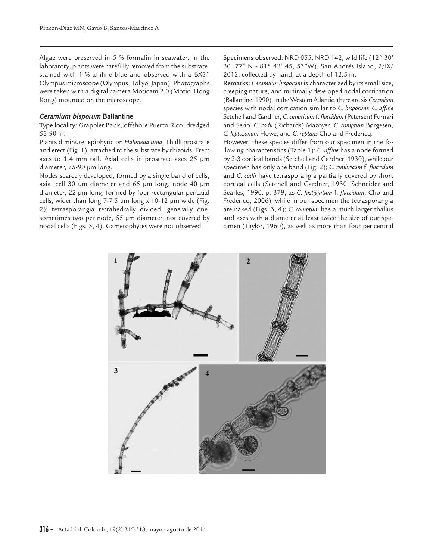Algae were preserved in 5 % formalin in seawater. In the laboratory, plants were carefully removed from the substrate, stained with 1 % aniline blue and observed with a BX51 Olympus microscope (Olympus, Tokyo, Japan). Photographs were taken with a digital camera Moticam 2.0 (Motic, Hong Kong) mounted on the microscope.

#### *Ceramium bisporum* **Ballantine**

Type locality: Grappler Bank, offshore Puerto Rico, dredged 55-90 m.

Plants diminute, epiphytic on *Halimeda tuna*. Thalli prostrate and erect (Fig. 1), attached to the substrate by rhizoids. Erect axes to 1.4 mm tall. Axial cells in prostrate axes 25 µm diameter, 75-90 µm long.

Nodes scarcely developed, formed by a single band of cells, axial cell 30 um diameter and 65 µm long, node 40 µm diameter, 22 µm long, formed by four rectangular periaxial cells, wider than long 7-7.5 µm long x 10-12 µm wide (Fig. 2); tetrasporangia tetrahedrally divided, generally one, sometimes two per node, 55 µm diameter, not covered by nodal cells (Figs. 3, 4). Gametophytes were not observed.

Specimens observed: NRD 055, NRD 142, wild life (12° 30' 30, 77" N - 81° 43' 45, 53"W), San Andrés Island, 2/IX/ 2012; collected by hand, at a depth of 12.5 m.

Remarks: *Ceramium bisporum* is characterized by its small size, creeping nature, and minimally developed nodal cortication (Ballantine, 1990). In the Western Atlantic, there are six *Ceramium* species with nodal cortication similar to *C. bisporum*: *C. affine* Setchell and Gardner, C. cimbricum f. *flaccidum* (Petersen) Furnari and Serio, *C. codii* (Richards) Mazoyer, *C. comptum* Børgesen, *C. leptozonum* Howe, and *C. reptans* Cho and Fredericq.

However, these species differ from our specimen in the following characteristics (Table 1): *C. affine* has a node formed by 2-3 cortical bands (Setchell and Gardner, 1930), while our specimen has only one band (Fig. 2); *C. cimbricum* f. *flaccidum* and *C. codii* have tetrasporangia partially covered by short cortical cells (Setchell and Gardner, 1930; Schneider and Searles, 1990: p. 379, as *C. fastigiatum* f. *flaccidum*; Cho and Fredericq, 2006), while in our specimen the tetrasporangia are naked (Figs. 3, 4); *C. comptum* has a much larger thallus and axes with a diameter at least twice the size of our specimen (Taylor, 1960), as well as more than four pericentral

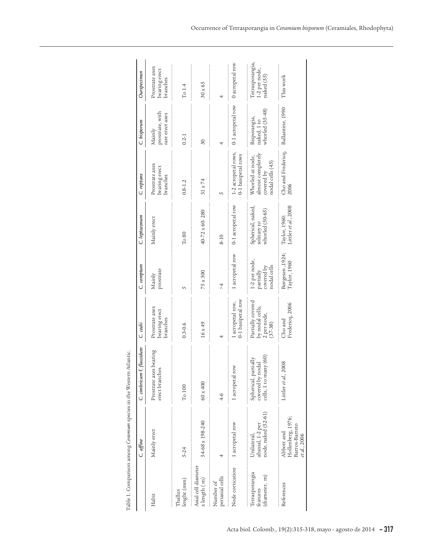|                                             | Table 1. Comparison among Ceramium species in the Western Atlantic. |                                                                   |                                                                    |                                                         |                                                     |                                                                         |                                                |                                                |
|---------------------------------------------|---------------------------------------------------------------------|-------------------------------------------------------------------|--------------------------------------------------------------------|---------------------------------------------------------|-----------------------------------------------------|-------------------------------------------------------------------------|------------------------------------------------|------------------------------------------------|
|                                             | C. affine                                                           | C. cimbricum f. flaccidum                                         | C. codii                                                           | C. comptum                                              | C. leptozonum                                       | C. reptans                                                              | C. bisporum                                    | Ourspecimen                                    |
| Habit                                       | Mainly erect                                                        | Prostrate axes bearing<br>erect branches                          | Prostrate axes<br>bearing erect<br>branches                        | prostrate<br>Mainly                                     | Mainly erect                                        | Prostrate axes<br>bearing erect<br>branches                             | prostrate, with<br>rare erect axes<br>Mainly   | Prostrate axes<br>bearing erect<br>branches    |
| lenght (mm)<br>Thallus                      | 5-24                                                                | $\rm To$ $100$                                                    | $0.3 - 0.6$                                                        | S                                                       | $T0$ 80                                             | $0.8 - 1.2$                                                             | $0.2 - 1$                                      | To $1.4$                                       |
| Axial cell diameter<br>x length (m)         | 54-68 x 198-240                                                     | $60\times400$                                                     | $16 \times 49$                                                     | 75 x 300                                                | 40-72 x 60-280                                      | $31 \times 74$                                                          | 30                                             | $30\times65$                                   |
| periaxial cells<br>Number of                | 4                                                                   | $^{4-6}$                                                          |                                                                    | $\overline{4}$                                          | $8 - 10$                                            | 5                                                                       | 4                                              |                                                |
| Node corrication                            | 1 acropetal row                                                     | 1 acropetal row                                                   | 0-1 basipetal row<br>l acropetal row,                              | 1 acropetal row                                         | 0-1 acropetal row                                   | 1-2 acropetal rows,<br>0-1 basipetal rows                               | 0-1 acropetal row                              | 0 acropetal row                                |
| Tetrasporangia<br>(diameter, m)<br>features | node, naked (52-61)<br>abaxial, 1-2 per<br>Unilateral,              | Spherical, partially<br>covered by nodal<br>cells, 1 to many (60) | Partially covered<br>by nodal cells,<br>2 per node,<br>$(37 - 38)$ | 1-2 per node,<br>nodal cells<br>partially<br>covered by | Spherical, naked,<br>solitary to<br>whorled (50-65) | almost completely<br>Whorled at node,<br>nodal cells (45)<br>covered by | naked, 1 to<br>whorled (35-48)<br>Bisporangia, | Tetrasporangia,<br>1-2 per node,<br>naked (55) |
| References                                  | Hollenberg, 1976;<br>Barros-Barreto<br>Abbott and<br>et al., 2006   | Littler $et$ $d$ , 2008                                           | Fredericq, 2006<br>Cho and                                         | Børgesen, 1924;<br>Taylor, 1960                         | Littler et al., 2008<br>Taylor, 1960:               | Cho and Fredericq, Ballantine, 1990<br>2006                             |                                                | This work                                      |
|                                             |                                                                     |                                                                   |                                                                    |                                                         |                                                     |                                                                         |                                                |                                                |

| ١<br>١<br>í<br>í<br>l<br>í<br>í<br>í |
|--------------------------------------|
| í<br>l<br>j<br>í<br>Ï<br>J<br>ı<br>i |
| ١<br>l<br>l                          |
| l<br>ļ<br>l<br>í                     |
| ì<br>í                               |
| I<br>֕<br>1<br>i<br>١<br>۱<br>I      |
| l<br>l<br>l<br>í<br>ł<br>ł<br>ł      |
| í<br>í<br>i<br>l<br>l<br>í<br>İ      |
| l<br>l<br>l<br>١<br>ļ<br>֠           |
| l                                    |
| į<br>ł<br>J<br>ì<br>l<br>ł           |